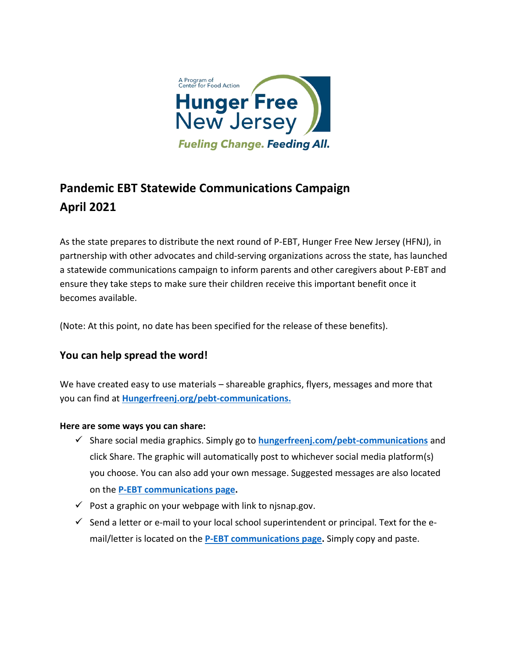

# **Pandemic EBT Statewide Communications Campaign April 2021**

As the state prepares to distribute the next round of P-EBT, Hunger Free New Jersey (HFNJ), in partnership with other advocates and child-serving organizations across the state, has launched a statewide communications campaign to inform parents and other caregivers about P-EBT and ensure they take steps to make sure their children receive this important benefit once it becomes available.

(Note: At this point, no date has been specified for the release of these benefits).

# **You can help spread the word!**

We have created easy to use materials – shareable graphics, flyers, messages and more that you can find at **[Hungerfreenj.org/pebt-communications.](https://hungerfreenj.org/pebt-communications/)**

### **Here are some ways you can share:**

- ✓ Share social media graphics. Simply go to **[hungerfreenj.com/pebt-communications](https://hungerfreenj.org/pebt-communications/)** and click Share. The graphic will automatically post to whichever social media platform(s) you choose. You can also add your own message. Suggested messages are also located on the **[P-EBT communications page.](https://hungerfreenj.org/pebt-communications/)**
- $\checkmark$  Post a graphic on your webpage with link to nisnap.gov.
- $\checkmark$  Send a letter or e-mail to your local school superintendent or principal. Text for the email/letter is located on the **[P-EBT communications page.](https://hungerfreenj.org/pebt-communications/)** Simply copy and paste.